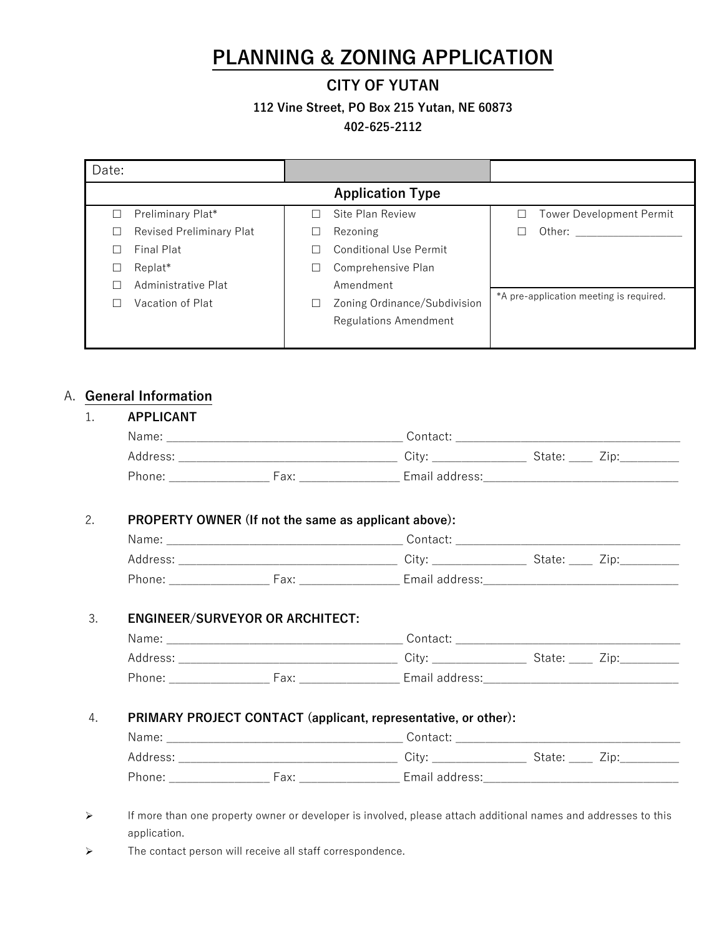# **PLANNING & ZONING APPLICATION**

### **CITY OF YUTAN**

**112 Vine Street, PO Box 215 Yutan, NE 60873** 

**402-625-2112**

| <b>Application Type</b>      |   |                                         |
|------------------------------|---|-----------------------------------------|
| Site Plan Review             | Ш | Tower Development Permit                |
| Rezoning                     |   | Other: $\qquad \qquad$                  |
| Conditional Use Permit       |   |                                         |
| Comprehensive Plan           |   |                                         |
| Amendment                    |   |                                         |
| Zoning Ordinance/Subdivision |   | *A pre-application meeting is required. |
| Regulations Amendment        |   |                                         |
|                              |   |                                         |
|                              |   |                                         |

## A. **General Information**

| PROPERTY OWNER (If not the same as applicant above): |                                                                |  |
|------------------------------------------------------|----------------------------------------------------------------|--|
|                                                      |                                                                |  |
|                                                      |                                                                |  |
|                                                      |                                                                |  |
| <b>ENGINEER/SURVEYOR OR ARCHITECT:</b>               |                                                                |  |
|                                                      |                                                                |  |
|                                                      |                                                                |  |
|                                                      |                                                                |  |
|                                                      | PRIMARY PROJECT CONTACT (applicant, representative, or other): |  |
|                                                      |                                                                |  |
|                                                      |                                                                |  |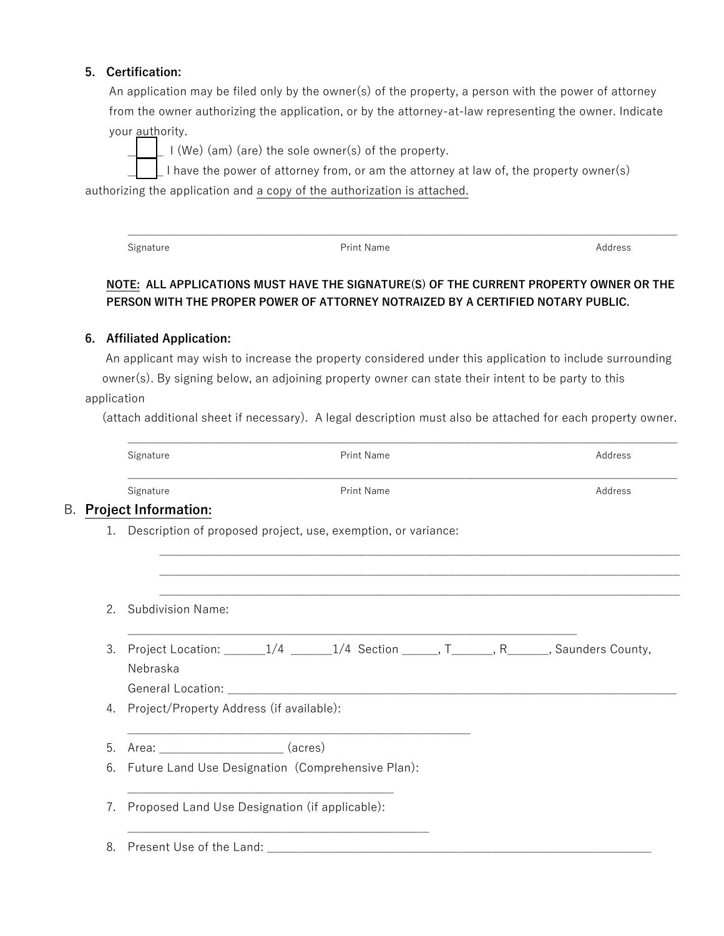#### **5. Certification:**

An application may be filed only by the owner(s) of the property, a person with the power of attorney from the owner authorizing the application, or by the attorney-at-law representing the owner. Indicate your authority.

I (We) (am) (are) the sole owner(s) of the property.

I have the power of attorney from, or am the attorney at law of, the property owner(s)

authorizing the application and a copy of the authorization is attached.

Signature **Address Print Name Print Name Print Name Print Name Print Name Print Name Print Name Print Name Print Name Print Name Print Name Print Name Print Name Print Name Print Name Print** 

#### **NOTE: ALL APPLICATIONS MUST HAVE THE SIGNATURE(S) OF THE CURRENT PROPERTY OWNER OR THE PERSON WITH THE PROPER POWER OF ATTORNEY NOTRAIZED BY A CERTIFIED NOTARY PUBLIC.**

 $\mathcal{L}_\mathcal{L} = \{ \mathcal{L}_\mathcal{L} = \{ \mathcal{L}_\mathcal{L} = \{ \mathcal{L}_\mathcal{L} = \{ \mathcal{L}_\mathcal{L} = \{ \mathcal{L}_\mathcal{L} = \{ \mathcal{L}_\mathcal{L} = \{ \mathcal{L}_\mathcal{L} = \{ \mathcal{L}_\mathcal{L} = \{ \mathcal{L}_\mathcal{L} = \{ \mathcal{L}_\mathcal{L} = \{ \mathcal{L}_\mathcal{L} = \{ \mathcal{L}_\mathcal{L} = \{ \mathcal{L}_\mathcal{L} = \{ \mathcal{L}_\mathcal{$ 

#### **6. Affiliated Application:**

An applicant may wish to increase the property considered under this application to include surrounding owner(s). By signing below, an adjoining property owner can state their intent to be party to this application

(attach additional sheet if necessary). A legal description must also be attached for each property owner.

 $\mathcal{L}_\mathcal{L} = \{ \mathcal{L}_\mathcal{L} = \{ \mathcal{L}_\mathcal{L} = \{ \mathcal{L}_\mathcal{L} = \{ \mathcal{L}_\mathcal{L} = \{ \mathcal{L}_\mathcal{L} = \{ \mathcal{L}_\mathcal{L} = \{ \mathcal{L}_\mathcal{L} = \{ \mathcal{L}_\mathcal{L} = \{ \mathcal{L}_\mathcal{L} = \{ \mathcal{L}_\mathcal{L} = \{ \mathcal{L}_\mathcal{L} = \{ \mathcal{L}_\mathcal{L} = \{ \mathcal{L}_\mathcal{L} = \{ \mathcal{L}_\mathcal{$ 

|                | Signature                   | <b>Print Name</b>                                                                             | Address |
|----------------|-----------------------------|-----------------------------------------------------------------------------------------------|---------|
|                | Signature                   | Print Name                                                                                    | Address |
|                | <b>Project Information:</b> |                                                                                               |         |
|                |                             | 1. Description of proposed project, use, exemption, or variance:                              |         |
| 2 <sub>1</sub> | <b>Subdivision Name:</b>    |                                                                                               |         |
| 3.             | Nebraska                    | Project Location: ________1/4 _______1/4 Section ______, T_______, R_______, Saunders County, |         |
|                |                             |                                                                                               |         |
| 4.             |                             | Project/Property Address (if available):                                                      |         |
| 5.             | Area: (acres)               |                                                                                               |         |
| 6.             |                             | Future Land Use Designation (Comprehensive Plan):                                             |         |
| 7.             |                             | Proposed Land Use Designation (if applicable):                                                |         |
| 8.             |                             |                                                                                               |         |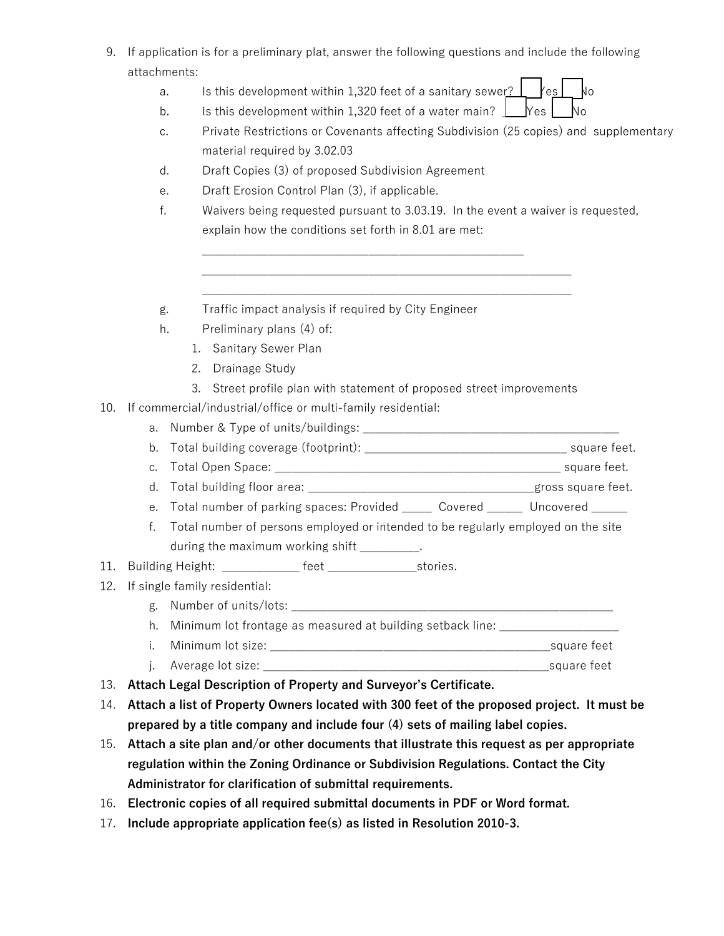- 9. If application is for a preliminary plat, answer the following questions and include the following attachments:
	- a. Is this development within 1,320 feet of a sanitary sewer?  $\lfloor$   $\lfloor$   $\lfloor$   $\lfloor$   $\lfloor$   $\rfloor$   $\lfloor$   $\rfloor$   $\lfloor$   $\lfloor$   $\rfloor$   $\lfloor$   $\lfloor$   $\rfloor$   $\lfloor$   $\lfloor$   $\rfloor$   $\lfloor$   $\lfloor$   $\rfloor$   $\lfloor$   $\lfloor$   $\rfloor$   $\lfloor$   $\lfloor$   $\rfloor$   $\lf$

b. Is this development within 1,320 feet of a water main?  $\Box$  Yes  $\Box$  No

\_\_\_\_\_\_\_\_\_\_\_\_\_\_\_\_\_\_\_\_\_\_\_\_\_\_\_\_\_\_\_\_\_\_\_\_\_\_\_\_\_\_\_\_\_\_\_\_\_\_\_\_\_\_

- c. Private Restrictions or Covenants affecting Subdivision (25 copies) and supplementary material required by 3.02.03
- d. Draft Copies (3) of proposed Subdivision Agreement
- e. Draft Erosion Control Plan (3), if applicable.
- f. Waivers being requested pursuant to 3.03.19. In the event a waiver is requested, explain how the conditions set forth in 8.01 are met:

\_\_\_\_\_\_\_\_\_\_\_\_\_\_\_\_\_\_\_\_\_\_\_\_\_\_\_\_\_\_\_\_\_\_\_\_\_\_\_\_\_\_\_\_\_\_\_\_\_\_\_\_\_\_\_\_\_\_\_\_\_\_ \_\_\_\_\_\_\_\_\_\_\_\_\_\_\_\_\_\_\_\_\_\_\_\_\_\_\_\_\_\_\_\_\_\_\_\_\_\_\_\_\_\_\_\_\_\_\_\_\_\_\_\_\_\_\_\_\_\_\_\_\_\_

- g. Traffic impact analysis if required by City Engineer
- h. Preliminary plans (4) of:
	- 1. Sanitary Sewer Plan
	- 2. Drainage Study
	- 3. Street profile plan with statement of proposed street improvements
- 10. If commercial/industrial/office or multi-family residential:
	- a. Number & Type of units/buildings: \_\_\_\_\_\_\_\_\_\_\_\_\_\_\_\_\_\_\_\_\_\_\_\_\_\_\_\_\_\_\_\_\_\_\_\_\_\_\_\_\_\_\_
	- b. Total building coverage (footprint): \_\_\_\_\_\_\_\_\_\_\_\_\_\_\_\_\_\_\_\_\_\_\_\_\_\_\_\_\_\_\_\_\_\_ square feet.
	- c. Total Open Space: \_\_\_\_\_\_\_\_\_\_\_\_\_\_\_\_\_\_\_\_\_\_\_\_\_\_\_\_\_\_\_\_\_\_\_\_\_\_\_\_\_\_\_\_\_\_\_\_ square feet.
	- d. Total building floor area: \_\_\_\_\_\_\_\_\_\_\_\_\_\_\_\_\_\_\_\_\_\_\_\_\_\_\_\_\_\_\_\_\_\_\_\_\_\_gross square feet.
	- e. Total number of parking spaces: Provided \_\_\_\_\_ Covered \_\_\_\_\_ Uncovered \_\_\_\_\_
	- f. Total number of persons employed or intended to be regularly employed on the site during the maximum working shift \_\_\_\_\_\_\_\_\_.
- 11. Building Height: \_\_\_\_\_\_\_\_\_\_\_\_\_ feet \_\_\_\_\_\_\_\_\_\_\_\_\_\_\_\_\_\_stories.
- 12. If single family residential:
	- g. Number of units/lots:

h. Minimum lot frontage as measured at building setback line:

- i. Minimum lot size: \_\_\_\_\_\_\_\_\_\_\_\_\_\_\_\_\_\_\_\_\_\_\_\_\_\_\_\_\_\_\_\_\_\_\_\_\_\_\_\_\_\_\_\_\_\_\_square feet
- j. Average lot size: \_\_\_\_\_\_\_\_\_\_\_\_\_\_\_\_\_\_\_\_\_\_\_\_\_\_\_\_\_\_\_\_\_\_\_\_\_\_\_\_\_\_\_\_\_\_\_\_square feet
- 13. **Attach Legal Description of Property and Surveyor's Certificate.**
- 14. **Attach a list of Property Owners located with 300 feet of the proposed project. It must be prepared by a title company and include four (4) sets of mailing label copies.**
- 15. **Attach a site plan and/or other documents that illustrate this request as per appropriate regulation within the Zoning Ordinance or Subdivision Regulations. Contact the City Administrator for clarification of submittal requirements.**
- 16. **Electronic copies of all required submittal documents in PDF or Word format.**
- 17. **Include appropriate application fee(s) as listed in Resolution 2010-3.**